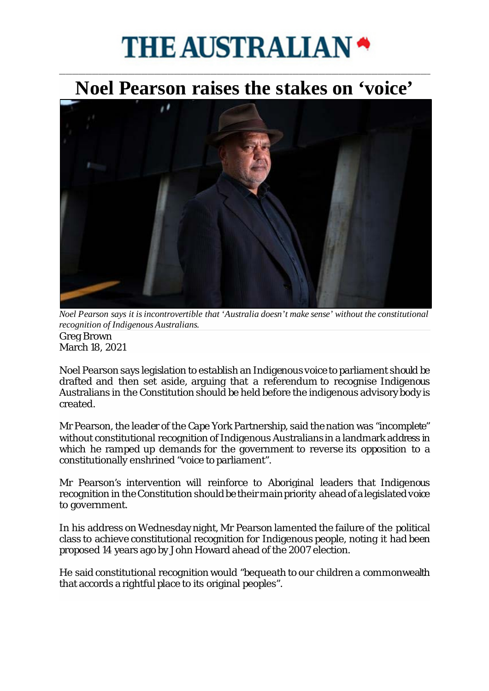## **THE AUSTRALIAN**

## \_\_\_\_\_\_\_\_\_\_\_\_\_\_\_\_\_\_\_\_\_\_\_\_\_\_\_\_\_\_\_\_\_\_\_\_\_\_\_\_\_\_\_\_\_\_\_\_\_\_\_\_\_\_\_\_\_\_\_\_\_\_\_\_\_\_\_\_\_\_\_\_\_\_\_\_\_\_\_\_\_\_\_\_\_\_\_\_\_\_\_\_\_\_\_\_\_\_\_\_\_\_\_\_\_\_\_\_\_\_\_\_\_ **[Noel Pearson raises the stakes on](https://cdn.newsapi.com.au/image/v1/1db8b3b7009fccdda84c45819a8a0161) 'voice'**



*Noel Pearson says it is incontrovertible that 'Australia doesn't make sense' without the constitutional recognition of Indigenous Australians.*  Greg Brown March 18, 2021

Noel Pearson says legislation to establish an Indigenous voice to parliament should be drafted and then set aside, arguing that a referendum to recognise Indigenous Australians in the Constitution should be held before the indigenous advisory body is created.

Mr Pearson, the leader of the Cape York Partnership, said the nation was "incomplete" without constitutional recognition of Indigenous Australians in a landmark address in which he ramped up demands for the government to reverse its opposition to a constitutionally enshrined "voice to parliament".

Mr Pearson's intervention will reinforce to Aboriginal leaders that Indigenous recognition in the Constitution should be their main priority ahead of a legislated voice to government.

In his address on Wednesday night, Mr Pearson lamented the failure of the political class to achieve constitutional recognition for Indigenous people, noting it had been proposed 14 years ago by John Howard ahead of the 2007 election.

He said constitutional recognition would "bequeath to our children a commonwealth that accords a rightful place to its original peoples".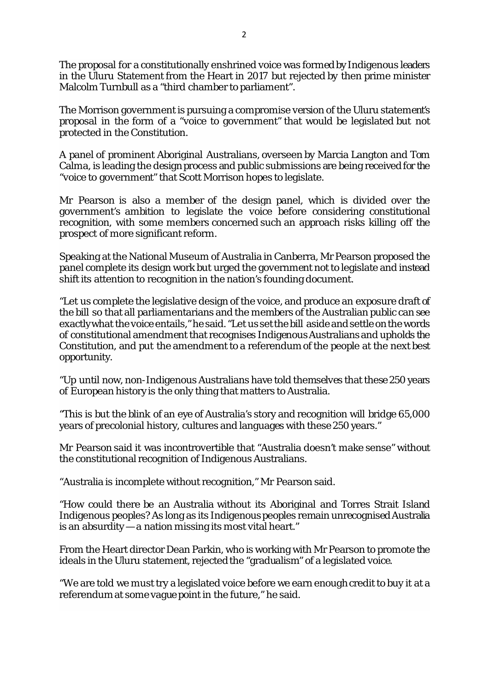The proposal for a constitutionally enshrined voice was formed by Indigenous leaders in the Uluru Statement from the Heart in 2017 but rejected by then prime minister Malcolm Turnbull as a "third chamber to parliament".

The Morrison government is pursuing a compromise version of the Uluru statement's proposal in the form of a "voice to government" that would be legislated but not protected in the Constitution.

A panel of prominent Aboriginal Australians, overseen by Marcia Langton and Tom Calma, is leading the design process and public submissions are being received for the "voice to government" that Scott Morrison hopes to legislate.

Mr Pearson is also a member of the design panel, which is divided over the government's ambition to legislate the voice before considering constitutional recognition, with some members concerned such an approach risks killing off the prospect of more significant reform.

Speaking at the National Museum of Australia in Canberra, Mr Pearson proposed the panel complete its design work but urged the government not to legislate and instead shift its attention to recognition in the nation's founding document.

"Let us complete the legislative design of the voice, and produce an exposure draft of the bill so that all parliamentarians and the members of the Australian public can see exactly what the voice entails," he said. "Let us set the bill aside and settle on the words of constitutional amendment that recognises Indigenous Australians and upholds the Constitution, and put the amendment to a referendum of the people at the next best opportunity.

"Up until now, non-Indigenous Australians have told themselves that these 250 years of European history is the only thing that matters to Australia.

"This is but the blink of an eye of Australia's story and recognition will bridge 65,000 years of precolonial history, cultures and languages with these 250 years."

Mr Pearson said it was incontrovertible that "Australia doesn't make sense" without the constitutional recognition of Indigenous Australians.

"Australia is incomplete without recognition," Mr Pearson said.

"How could there be an Australia without its Aboriginal and Torres Strait Island Indigenous peoples? As long as its Indigenous peoples remain unrecognised Australia is an absurdity — a nation missing its most vital heart."

From the Heart director Dean Parkin, who is working with Mr Pearson to promote the ideals in the Uluru statement, rejected the "gradualism" of a legislated voice.

"We are told we must try a legislated voice before we earn enough credit to buy it at a referendum at some vague point in the future," he said.